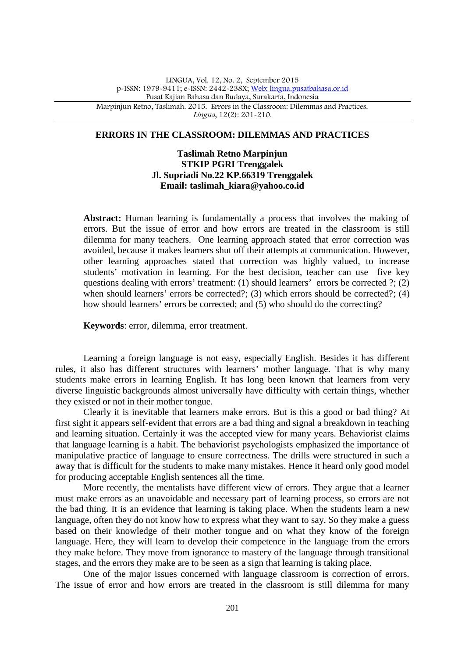#### **ERRORS IN THE CLASSROOM: DILEMMAS AND PRACTICES**

## **Taslimah Retno Marpinjun STKIP PGRI Trenggalek Jl. Supriadi No.22 KP.66319 Trenggalek Email: taslimah\_kiara@yahoo.co.id**

**Abstract:** Human learning is fundamentally a process that involves the making of errors. But the issue of error and how errors are treated in the classroom is still dilemma for many teachers. One learning approach stated that error correction was avoided, because it makes learners shut off their attempts at communication. However, other learning approaches stated that correction was highly valued, to increase students' motivation in learning. For the best decision, teacher can use five key questions dealing with errors' treatment: (1) should learners' errors be corrected ?; (2) when should learners' errors be corrected?; (3) which errors should be corrected?; (4) how should learners' errors be corrected; and (5) who should do the correcting?

**Keywords**: error, dilemma, error treatment.

Learning a foreign language is not easy, especially English. Besides it has different rules, it also has different structures with learners' mother language. That is why many students make errors in learning English. It has long been known that learners from very diverse linguistic backgrounds almost universally have difficulty with certain things, whether they existed or not in their mother tongue.

Clearly it is inevitable that learners make errors. But is this a good or bad thing? At first sight it appears self-evident that errors are a bad thing and signal a breakdown in teaching and learning situation. Certainly it was the accepted view for many years. Behaviorist claims that language learning is a habit. The behaviorist psychologists emphasized the importance of manipulative practice of language to ensure correctness. The drills were structured in such a away that is difficult for the students to make many mistakes. Hence it heard only good model for producing acceptable English sentences all the time.

More recently, the mentalists have different view of errors. They argue that a learner must make errors as an unavoidable and necessary part of learning process, so errors are not the bad thing. It is an evidence that learning is taking place. When the students learn a new language, often they do not know how to express what they want to say. So they make a guess based on their knowledge of their mother tongue and on what they know of the foreign language. Here, they will learn to develop their competence in the language from the errors they make before. They move from ignorance to mastery of the language through transitional stages, and the errors they make are to be seen as a sign that learning is taking place.

One of the major issues concerned with language classroom is correction of errors. The issue of error and how errors are treated in the classroom is still dilemma for many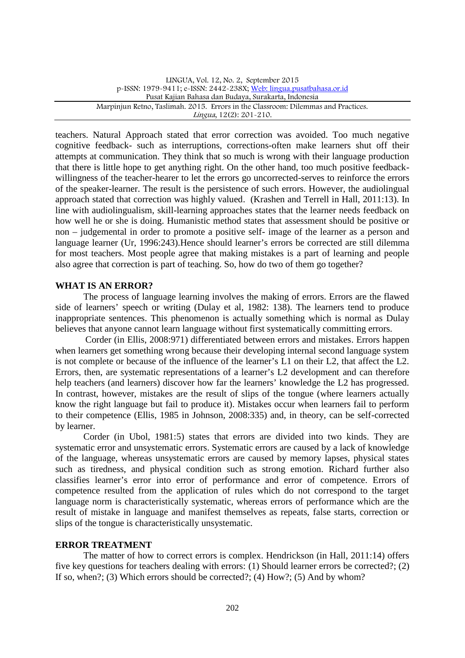teachers. Natural Approach stated that error correction was avoided. Too much negative cognitive feedback- such as interruptions, corrections-often make learners shut off their attempts at communication. They think that so much is wrong with their language production that there is little hope to get anything right. On the other hand, too much positive feedback willingness of the teacher-hearer to let the errors go uncorrected-serves to reinforce the errors of the speaker-learner. The result is the persistence of such errors. However, the audiolingual approach stated that correction was highly valued. (Krashen and Terrell in Hall, 2011:13). In line with audiolingualism, skill-learning approaches states that the learner needs feedback on how well he or she is doing. Humanistic method states that assessment should be positive or non – judgemental in order to promote a positive self- image of the learner as a person and language learner (Ur, 1996:243).Hence should learner's errors be corrected are still dilemma for most teachers. Most people agree that making mistakes is a part of learning and people also agree that correction is part of teaching. So, how do two of them go together?

## **WHAT IS AN ERROR?**

The process of language learning involves the making of errors. Errors are the flawed side of learners' speech or writing (Dulay et al, 1982: 138). The learners tend to produce inappropriate sentences. This phenomenon is actually something which is normal as Dulay believes that anyone cannot learn language without first systematically committing errors.

Corder (in Ellis, 2008:971) differentiated between errors and mistakes. Errors happen when learners get something wrong because their developing internal second language system is not complete or because of the influence of the learner's L1 on their L2, that affect the L2. Errors, then, are systematic representations of a learner's L2 development and can therefore help teachers (and learners) discover how far the learners' knowledge the L2 has progressed. In contrast, however, mistakes are the result of slips of the tongue (where learners actually know the right language but fail to produce it). Mistakes occur when learners fail to perform to their competence (Ellis, 1985 in Johnson, 2008:335) and, in theory, can be self-corrected by learner.

Corder (in Ubol, 1981:5) states that errors are divided into two kinds. They are systematic error and unsystematic errors. Systematic errors are caused by a lack of knowledge of the language, whereas unsystematic errors are caused by memory lapses, physical states such as tiredness, and physical condition such as strong emotion. Richard further also classifies learner's error into error of performance and error of competence. Errors of competence resulted from the application of rules which do not correspond to the target language norm is characteristically systematic, whereas errors of performance which are the result of mistake in language and manifest themselves as repeats, false starts, correction or slips of the tongue is characteristically unsystematic.

#### **ERROR TREATMENT**

The matter of how to correct errors is complex. Hendrickson (in Hall, 2011:14) offers five key questions for teachers dealing with errors: (1) Should learner errors be corrected?; (2) If so, when?; (3) Which errors should be corrected?; (4) How?; (5) And by whom?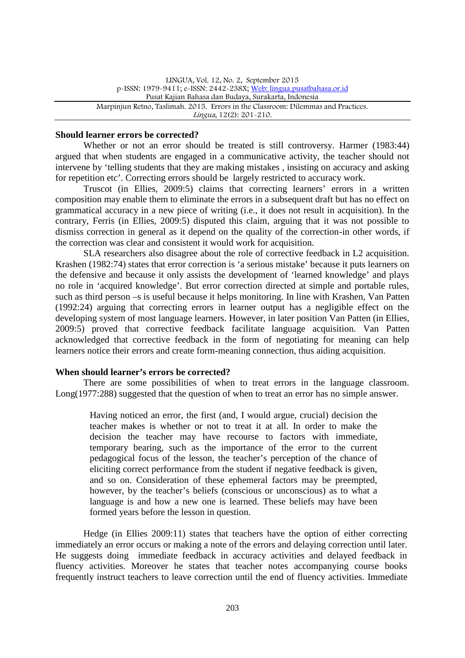### **Should learner errors be corrected?**

Whether or not an error should be treated is still controversy. Harmer (1983:44) argued that when students are engaged in a communicative activity, the teacher should not intervene by 'telling students that they are making mistakes , insisting on accuracy and asking for repetition etc'. Correcting errors should be largely restricted to accuracy work.

Truscot (in Ellies, 2009:5) claims that correcting learners' errors in a written composition may enable them to eliminate the errors in a subsequent draft but has no effect on grammatical accuracy in a new piece of writing (i.e., it does not result in acquisition). In the contrary, Ferris (in Ellies, 2009:5) disputed this claim, arguing that it was not possible to dismiss correction in general as it depend on the quality of the correction-in other words, if the correction was clear and consistent it would work for acquisition.

SLA researchers also disagree about the role of corrective feedback in L2 acquisition. Krashen (1982:74) states that error correction is 'a serious mistake' because it puts learners on the defensive and because it only assists the development of 'learned knowledge' and plays no role in 'acquired knowledge'. But error correction directed at simple and portable rules, such as third person –s is useful because it helps monitoring. In line with Krashen, Van Patten (1992:24) arguing that correcting errors in learner output has a negligible effect on the developing system of most language learners. However, in later position Van Patten (in Ellies, 2009:5) proved that corrective feedback facilitate language acquisition. Van Patten acknowledged that corrective feedback in the form of negotiating for meaning can help learners notice their errors and create form-meaning connection, thus aiding acquisition.

## **When should learner's errors be corrected?**

There are some possibilities of when to treat errors in the language classroom. Long(1977:288) suggested that the question of when to treat an error has no simple answer.

Having noticed an error, the first (and, I would argue, crucial) decision the teacher makes is whether or not to treat it at all. In order to make the decision the teacher may have recourse to factors with immediate, temporary bearing, such as the importance of the error to the current pedagogical focus of the lesson, the teacher's perception of the chance of eliciting correct performance from the student if negative feedback is given, and so on. Consideration of these ephemeral factors may be preempted, however, by the teacher's beliefs (conscious or unconscious) as to what a language is and how a new one is learned. These beliefs may have been formed years before the lesson in question.

Hedge (in Ellies 2009:11) states that teachers have the option of either correcting immediately an error occurs or making a note of the errors and delaying correction until later. He suggests doing immediate feedback in accuracy activities and delayed feedback in fluency activities. Moreover he states that teacher notes accompanying course books frequently instruct teachers to leave correction until the end of fluency activities. Immediate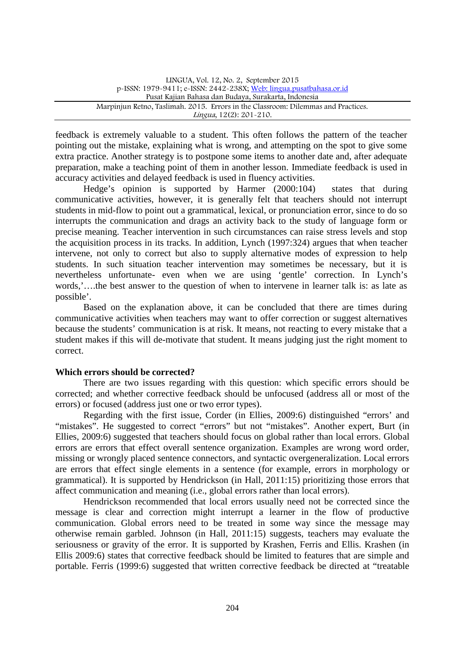feedback is extremely valuable to a student. This often follows the pattern of the teacher pointing out the mistake, explaining what is wrong, and attempting on the spot to give some extra practice. Another strategy is to postpone some items to another date and, after adequate preparation, make a teaching point of them in another lesson. Immediate feedback is used in accuracy activities and delayed feedback is used in fluency activities.

Hedge's opinion is supported by Harmer (2000:104) states that during communicative activities, however, it is generally felt that teachers should not interrupt students in mid-flow to point out a grammatical, lexical, or pronunciation error, since to do so interrupts the communication and drags an activity back to the study of language form or precise meaning. Teacher intervention in such circumstances can raise stress levels and stop the acquisition process in its tracks. In addition, Lynch (1997:324) argues that when teacher intervene, not only to correct but also to supply alternative modes of expression to help students. In such situation teacher intervention may sometimes be necessary, but it is nevertheless unfortunate- even when we are using 'gentle' correction. In Lynch's words,'….the best answer to the question of when to intervene in learner talk is: as late as possible'.

Based on the explanation above, it can be concluded that there are times during communicative activities when teachers may want to offer correction or suggest alternatives because the students' communication is at risk. It means, not reacting to every mistake that a student makes if this will de-motivate that student. It means judging just the right moment to correct.

#### **Which errors should be corrected?**

There are two issues regarding with this question: which specific errors should be corrected; and whether corrective feedback should be unfocused (address all or most of the errors) or focused (address just one or two error types).

Regarding with the first issue, Corder (in Ellies, 2009:6) distinguished "errors' and "mistakes". He suggested to correct "errors" but not "mistakes". Another expert, Burt (in Ellies, 2009:6) suggested that teachers should focus on global rather than local errors. Global errors are errors that effect overall sentence organization. Examples are wrong word order, missing or wrongly placed sentence connectors, and syntactic overgeneralization. Local errors are errors that effect single elements in a sentence (for example, errors in morphology or grammatical). It is supported by Hendrickson (in Hall, 2011:15) prioritizing those errors that affect communication and meaning (i.e., global errors rather than local errors).

Hendrickson recommended that local errors usually need not be corrected since the message is clear and correction might interrupt a learner in the flow of productive communication. Global errors need to be treated in some way since the message may otherwise remain garbled. Johnson (in Hall, 2011:15) suggests, teachers may evaluate the seriousness or gravity of the error. It is supported by Krashen, Ferris and Ellis. Krashen (in Ellis 2009:6) states that corrective feedback should be limited to features that are simple and portable. Ferris (1999:6) suggested that written corrective feedback be directed at "treatable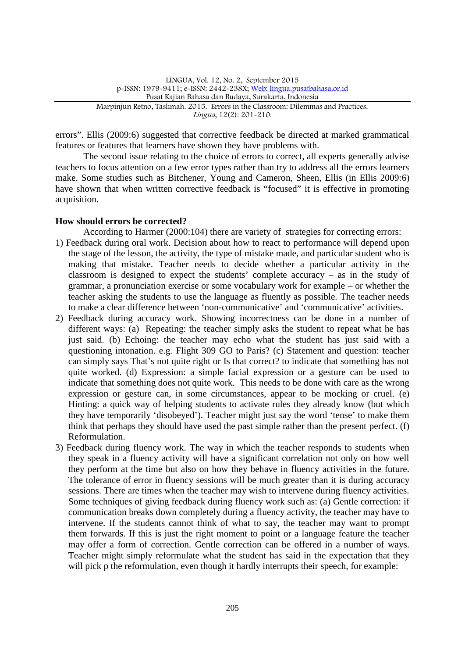errors". Ellis (2009:6) suggested that corrective feedback be directed at marked grammatical features or features that learners have shown they have problems with.

The second issue relating to the choice of errors to correct, all experts generally advise teachers to focus attention on a few error types rather than try to address all the errors learners make. Some studies such as Bitchener, Young and Cameron, Sheen, Ellis (in Ellis 2009:6) have shown that when written corrective feedback is "focused" it is effective in promoting acquisition.

## **How should errors be corrected?**

According to Harmer (2000:104) there are variety of strategies for correcting errors:

- 1) Feedback during oral work. Decision about how to react to performance will depend upon the stage of the lesson, the activity, the type of mistake made, and particular student who is making that mistake. Teacher needs to decide whether a particular activity in the classroom is designed to expect the students' complete accuracy – as in the study of grammar, a pronunciation exercise or some vocabulary work for example – or whether the teacher asking the students to use the language as fluently as possible. The teacher needs to make a clear difference between 'non-communicative' and 'communicative' activities.
- 2) Feedback during accuracy work. Showing incorrectness can be done in a number of different ways: (a) Repeating: the teacher simply asks the student to repeat what he has just said. (b) Echoing: the teacher may echo what the student has just said with a questioning intonation. e.g. Flight 309 GO to Paris? (c) Statement and question: teacher can simply says That's not quite right or Is that correct? to indicate that something has not quite worked. (d) Expression: a simple facial expression or a gesture can be used to indicate that something does not quite work. This needs to be done with care as the wrong expression or gesture can, in some circumstances, appear to be mocking or cruel. (e) Hinting: a quick way of helping students to activate rules they already know (but which they have temporarily 'disobeyed'). Teacher might just say the word 'tense' to make them think that perhaps they should have used the past simple rather than the present perfect. (f) Reformulation.
- 3) Feedback during fluency work. The way in which the teacher responds to students when they speak in a fluency activity will have a significant correlation not only on how well they perform at the time but also on how they behave in fluency activities in the future. The tolerance of error in fluency sessions will be much greater than it is during accuracy sessions. There are times when the teacher may wish to intervene during fluency activities. Some techniques of giving feedback during fluency work such as: (a) Gentle correction: if communication breaks down completely during a fluency activity, the teacher may have to intervene. If the students cannot think of what to say, the teacher may want to prompt them forwards. If this is just the right moment to point or a language feature the teacher may offer a form of correction. Gentle correction can be offered in a number of ways. Teacher might simply reformulate what the student has said in the expectation that they will pick p the reformulation, even though it hardly interrupts their speech, for example: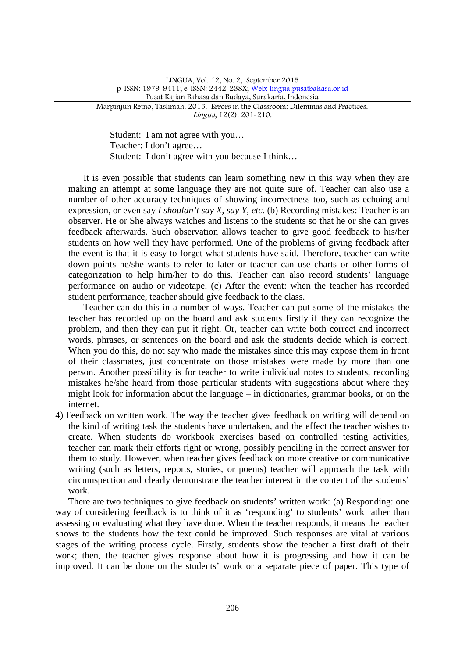Student: I am not agree with you… Teacher: I don't agree… Student: I don't agree with you because I think…

It is even possible that students can learn something new in this way when they are making an attempt at some language they are not quite sure of. Teacher can also use a number of other accuracy techniques of showing incorrectness too, such as echoing and expression, or even say *I shouldn't say X, say Y, etc.* (b) Recording mistakes: Teacher is an observer. He or She always watches and listens to the students so that he or she can gives feedback afterwards. Such observation allows teacher to give good feedback to his/her students on how well they have performed. One of the problems of giving feedback after the event is that it is easy to forget what students have said. Therefore, teacher can write down points he/she wants to refer to later or teacher can use charts or other forms of categorization to help him/her to do this. Teacher can also record students' language performance on audio or videotape. (c) After the event: when the teacher has recorded student performance, teacher should give feedback to the class.

Teacher can do this in a number of ways. Teacher can put some of the mistakes the teacher has recorded up on the board and ask students firstly if they can recognize the problem, and then they can put it right. Or, teacher can write both correct and incorrect words, phrases, or sentences on the board and ask the students decide which is correct. When you do this, do not say who made the mistakes since this may expose them in front of their classmates, just concentrate on those mistakes were made by more than one person. Another possibility is for teacher to write individual notes to students, recording mistakes he/she heard from those particular students with suggestions about where they might look for information about the language – in dictionaries, grammar books, or on the internet.

4) Feedback on written work. The way the teacher gives feedback on writing will depend on the kind of writing task the students have undertaken, and the effect the teacher wishes to create. When students do workbook exercises based on controlled testing activities, teacher can mark their efforts right or wrong, possibly penciling in the correct answer for them to study. However, when teacher gives feedback on more creative or communicative writing (such as letters, reports, stories, or poems) teacher will approach the task with circumspection and clearly demonstrate the teacher interest in the content of the students' work.

There are two techniques to give feedback on students' written work: (a) Responding: one way of considering feedback is to think of it as 'responding' to students' work rather than assessing or evaluating what they have done. When the teacher responds, it means the teacher shows to the students how the text could be improved. Such responses are vital at various stages of the writing process cycle. Firstly, students show the teacher a first draft of their work; then, the teacher gives response about how it is progressing and how it can be improved. It can be done on the students' work or a separate piece of paper. This type of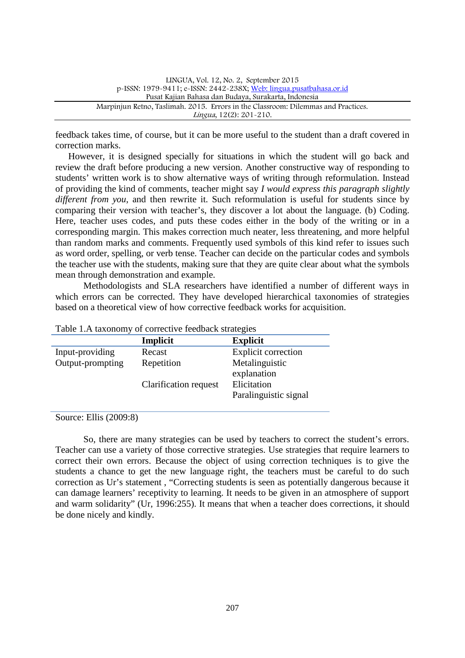feedback takes time, of course, but it can be more useful to the student than a draft covered in correction marks.

However, it is designed specially for situations in which the student will go back and review the draft before producing a new version. Another constructive way of responding to students' written work is to show alternative ways of writing through reformulation. Instead of providing the kind of comments, teacher might say *I would express this paragraph slightly different from you*, and then rewrite it. Such reformulation is useful for students since by comparing their version with teacher's, they discover a lot about the language. (b) Coding. Here, teacher uses codes, and puts these codes either in the body of the writing or in a corresponding margin. This makes correction much neater, less threatening, and more helpful than random marks and comments. Frequently used symbols of this kind refer to issues such as word order, spelling, or verb tense. Teacher can decide on the particular codes and symbols the teacher use with the students, making sure that they are quite clear about what the symbols mean through demonstration and example.

Methodologists and SLA researchers have identified a number of different ways in which errors can be corrected. They have developed hierarchical taxonomies of strategies based on a theoretical view of how corrective feedback works for acquisition.

|                  | Implicit              | <b>Explicit</b>            |
|------------------|-----------------------|----------------------------|
| Input-providing  | Recast                | <b>Explicit correction</b> |
| Output-prompting | Repetition            | Metalinguistic             |
|                  |                       | explanation                |
|                  | Clarification request | Elicitation                |
|                  |                       | Paralinguistic signal      |
|                  |                       |                            |

Table 1.A taxonomy of corrective feedback strategies

Source: Ellis (2009:8)

So, there are many strategies can be used by teachers to correct the student's errors. Teacher can use a variety of those corrective strategies. Use strategies that require learners to correct their own errors. Because the object of using correction techniques is to give the students a chance to get the new language right, the teachers must be careful to do such correction as Ur's statement , "Correcting students is seen as potentially dangerous because it can damage learners' receptivity to learning. It needs to be given in an atmosphere of support and warm solidarity" (Ur, 1996:255). It means that when a teacher does corrections, it should be done nicely and kindly.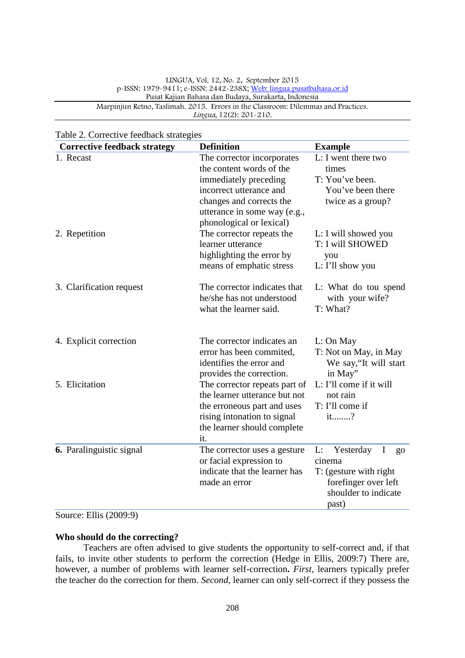| <b>Corrective feedback strategy</b> | <b>Definition</b>                                                                                                                                                      | <b>Example</b>                                                                                                                 |
|-------------------------------------|------------------------------------------------------------------------------------------------------------------------------------------------------------------------|--------------------------------------------------------------------------------------------------------------------------------|
| 1. Recast                           | The corrector incorporates<br>the content words of the<br>immediately preceding<br>incorrect utterance and<br>changes and corrects the<br>utterance in some way (e.g., | L: I went there two<br>times<br>T: You've been.<br>You've been there<br>twice as a group?                                      |
| 2. Repetition                       | phonological or lexical)<br>The corrector repeats the<br>learner utterance<br>highlighting the error by<br>means of emphatic stress                                    | L: I will showed you<br>T: I will SHOWED<br>you<br>L: I'll show you                                                            |
| 3. Clarification request            | The corrector indicates that<br>he/she has not understood<br>what the learner said.                                                                                    | L: What do tou spend<br>with your wife?<br>T: What?                                                                            |
| 4. Explicit correction              | The corrector indicates an<br>error has been commited,<br>identifies the error and<br>provides the correction.                                                         | L: On May<br>T: Not on May, in May<br>We say, 'It will start<br>in May"                                                        |
| 5. Elicitation                      | The corrector repeats part of<br>the learner utterance but not<br>the erroneous part and uses<br>rising intonation to signal<br>the learner should complete<br>it.     | L: I'll come if it will<br>not rain<br>T: I'll come if<br>it?                                                                  |
| 6. Paralinguistic signal            | The corrector uses a gesture<br>or facial expression to<br>indicate that the learner has<br>made an error                                                              | L:<br>Yesterday<br>$\bf{I}$<br>go<br>cinema<br>T: (gesture with right<br>forefinger over left<br>shoulder to indicate<br>past) |

# Table 2. Corrective feedback strategies

Source: Ellis (2009:9)

#### **Who should do the correcting?**

Teachers are often advised to give students the opportunity to self-correct and, if that fails, to invite other students to perform the correction (Hedge in Ellis, 2009:7) There are, however, a number of problems with learner self-correction**.** *First*, learners typically prefer the teacher do the correction for them. *Second*, learner can only self-correct if they possess the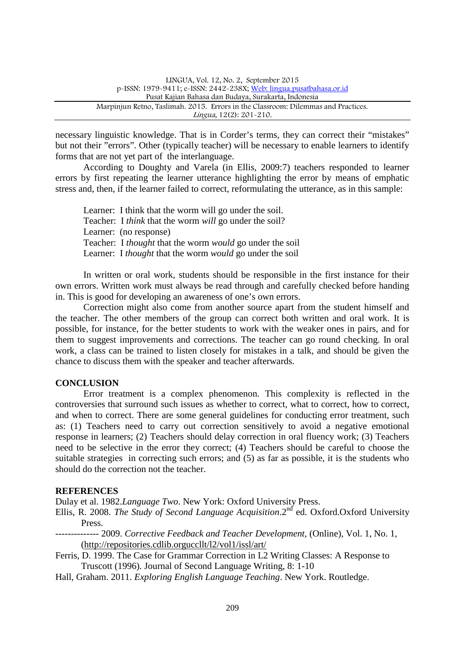necessary linguistic knowledge. That is in Corder's terms, they can correct their "mistakes" but not their "errors". Other (typically teacher) will be necessary to enable learners to identify forms that are not yet part of the interlanguage.

According to Doughty and Varela (in Ellis, 2009:7) teachers responded to learner errors by first repeating the learner utterance highlighting the error by means of emphatic stress and, then, if the learner failed to correct, reformulating the utterance, as in this sample:

Learner: I think that the worm will go under the soil. Teacher: I *think* that the worm *will* go under the soil? Learner: (no response) Teacher: I *thought* that the worm *would* go under the soil Learner: I *thought* that the worm *would* go under the soil

In written or oral work, students should be responsible in the first instance for their own errors. Written work must always be read through and carefully checked before handing in. This is good for developing an awareness of one's own errors.

Correction might also come from another source apart from the student himself and the teacher. The other members of the group can correct both written and oral work. It is possible, for instance, for the better students to work with the weaker ones in pairs, and for them to suggest improvements and corrections. The teacher can go round checking. In oral work, a class can be trained to listen closely for mistakes in a talk, and should be given the chance to discuss them with the speaker and teacher afterwards.

## **CONCLUSION**

Error treatment is a complex phenomenon. This complexity is reflected in the controversies that surround such issues as whether to correct, what to correct, how to correct, and when to correct. There are some general guidelines for conducting error treatment, such as: (1) Teachers need to carry out correction sensitively to avoid a negative emotional response in learners; (2) Teachers should delay correction in oral fluency work; (3) Teachers need to be selective in the error they correct; (4) Teachers should be careful to choose the suitable strategies in correcting such errors; and (5) as far as possible, it is the students who should do the correction not the teacher.

## **REFERENCES**

Dulay et al. 1982.*Language Two*. New York: Oxford University Press.

- Ellis, R. 2008. *The Study of Second Language Acquisition*.2<sup>nd</sup> ed. Oxford.Oxford University Press.
- -------------- 2009. *Corrective Feedback and Teacher Development,* (Online), Vol. 1, No. 1, (http://repositories.cdlib.orguccllt/l2/vol1/issl/art/
- Ferris, D. 1999. The Case for Grammar Correction in L2 Writing Classes: A Response to Truscott (1996). Journal of Second Language Writing, 8: 1-10
- Hall, Graham. 2011. *Exploring English Language Teaching*. New York. Routledge.